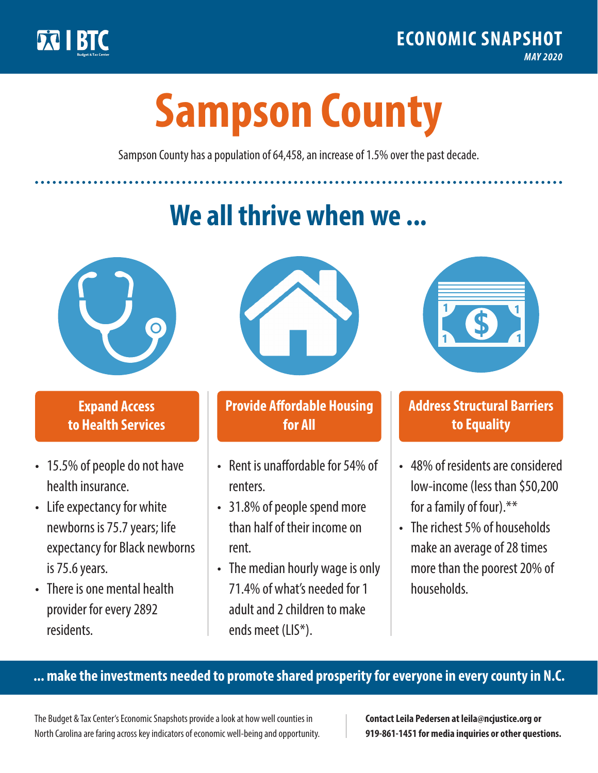

**1**

# **Sampson County**

Sampson County has a population of 64,458, an increase of 1.5% over the past decade.

# **We all thrive when we ...**



**\$ <sup>1</sup>**

**\$ <sup>1</sup>**

### **Expand Access to Health Services**

- 15.5% of people do not have health insurance.
- Life expectancy for white newborns is 75.7years; life expectancy for Black newborns is 75.6 years.
- There is one mental health provider for every 2892 residents.



### **Provide Affordable Housing for All**

- Rent is unaffordable for 54% of renters.
- 31.8% of people spend more than half of their income on rent.
- The median hourly wage is only 71.4% of what's needed for 1 adult and 2 children to make ends meet (LIS\*).



## **Address Structural Barriers to Equality**

- 48% of residents are considered low-income (less than \$50,200 for a family of four).\*\*
- The richest 5% of households make an average of 28 times more than the poorest 20% of households.

#### **... make the investments needed to promote shared prosperity for everyone in every county in N.C.**

The Budget & Tax Center's Economic Snapshots provide a look at how well counties in North Carolina are faring across key indicators of economic well-being and opportunity.